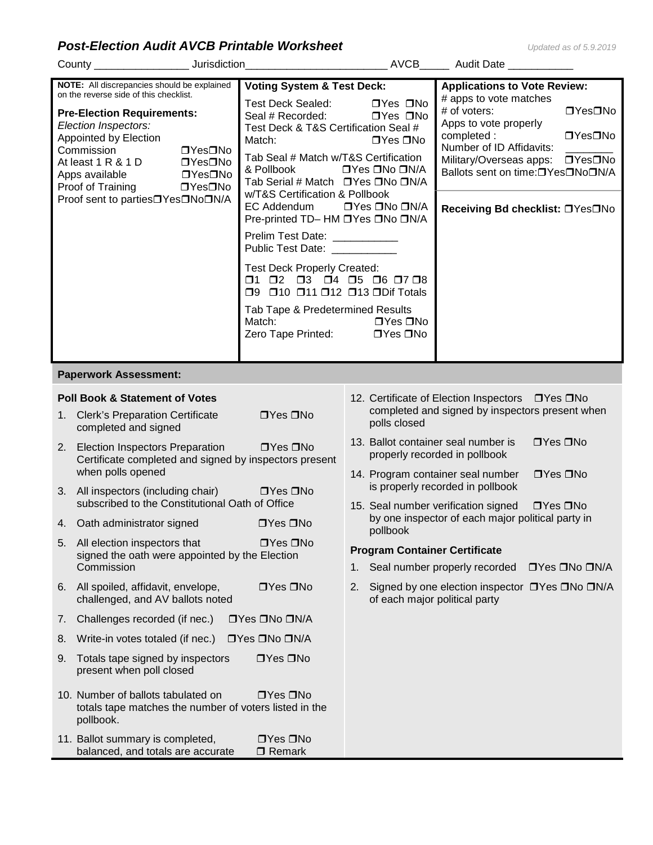## *Post-Election Audit AVCB Printable Worksheet Updated as of 5.9.2019*

|                       | County _______________________ Jurisdiction_                                                                                                                                                                                                                                                                                                      | <b>AVCB</b>                                                                                                                                                                                                                                                                                                                                                                                                                                                                                                                                                                                                                                |                                                                                                                                            | Audit Date ___________                                                                                                                                                                                                                                                              |  |  |
|-----------------------|---------------------------------------------------------------------------------------------------------------------------------------------------------------------------------------------------------------------------------------------------------------------------------------------------------------------------------------------------|--------------------------------------------------------------------------------------------------------------------------------------------------------------------------------------------------------------------------------------------------------------------------------------------------------------------------------------------------------------------------------------------------------------------------------------------------------------------------------------------------------------------------------------------------------------------------------------------------------------------------------------------|--------------------------------------------------------------------------------------------------------------------------------------------|-------------------------------------------------------------------------------------------------------------------------------------------------------------------------------------------------------------------------------------------------------------------------------------|--|--|
|                       | NOTE: All discrepancies should be explained<br>on the reverse side of this checklist.<br><b>Pre-Election Requirements:</b><br>Election Inspectors:<br>Appointed by Election<br>Commission<br>□Yes□No<br>At least 1 R & 1 D<br>□Yes□No<br>Apps available □ Yes□No<br>Proof of Training<br>□Yes□No<br>Proof sent to parties <sup>OY</sup> esONoON/A | <b>Voting System &amp; Test Deck:</b><br><b>Test Deck Sealed:</b><br>Seal # Recorded:<br>Test Deck & T&S Certification Seal #<br>Match:<br>Tab Seal # Match w/T&S Certification<br>& Pollbook<br>Tab Serial # Match □ Yes □ No □ N/A<br>w/T&S Certification & Pollbook<br>EC Addendum<br>Pre-printed TD- HM DYes DNo DN/A<br>Prelim Test Date: ___________<br>Public Test Date: ___________<br><b>Test Deck Properly Created:</b><br>$\square$ 1 $\square$ 2 $\square$ 3 $\square$ 4 $\square$ 5 $\square$ 6 $\square$ 7 $\square$ 8<br>□9 □10 □11 □12 □13 □Dif Totals<br>Tab Tape & Predetermined Results<br>Match:<br>Zero Tape Printed: | □Yes □No<br>$\Box$ Yes $\Box$ No<br>$\Box$ Yes $\Box$ No<br>□Yes □No □N/A<br>□Yes □No □N/A<br>$\Box$ Yes $\Box$ No<br>$\Box$ Yes $\Box$ No | <b>Applications to Vote Review:</b><br># apps to vote matches<br># of voters:<br>□Yes□No<br>Apps to vote properly<br>completed:<br>□Yes□No<br>Number of ID Affidavits:<br>□Yes□No<br>Military/Overseas apps:<br>Ballots sent on time:□Yes□No□N/A<br>Receiving Bd checklist: □Yes□No |  |  |
| Paperwork Assessment: |                                                                                                                                                                                                                                                                                                                                                   |                                                                                                                                                                                                                                                                                                                                                                                                                                                                                                                                                                                                                                            |                                                                                                                                            |                                                                                                                                                                                                                                                                                     |  |  |
| 1.<br>2.              | <b>Poll Book &amp; Statement of Votes</b><br><b>Clerk's Preparation Certificate</b><br>completed and signed<br>Election Inspectors Preparation<br>Certificate completed and signed by inspectors present<br>when polls opened<br>3. All inspectors (including chair) DYes DNo                                                                     | $\Box$ Yes $\Box$ No<br>$\Box$ Yes $\Box$ No                                                                                                                                                                                                                                                                                                                                                                                                                                                                                                                                                                                               | polls closed<br>13. Ballot container seal number is                                                                                        | 12. Certificate of Election Inspectors □ Yes □ No<br>completed and signed by inspectors present when<br>$\Box$ Yes $\Box$ No<br>properly recorded in pollbook<br>14. Program container seal number<br>$\Box$ Yes $\Box$ No<br>is properly recorded in pollbook                      |  |  |
|                       | subscribed to the Constitutional Oath of Office<br>4. Oath administrator signed                                                                                                                                                                                                                                                                   | $\Box$ Yes $\Box$ No                                                                                                                                                                                                                                                                                                                                                                                                                                                                                                                                                                                                                       |                                                                                                                                            | 15. Seal number verification signed<br>$\Box$ Yes $\Box$ No<br>by one inspector of each major political party in                                                                                                                                                                    |  |  |
| 6.                    | 5. All election inspectors that<br>signed the oath were appointed by the Election<br>Commission<br>All spoiled, affidavit, envelope,<br>challenged, and AV ballots noted                                                                                                                                                                          | pollbook<br>$\Box$ Yes $\Box$ No<br><b>Program Container Certificate</b><br>1.<br>$\Box$ Yes $\Box$ No<br>2.<br>of each major political party                                                                                                                                                                                                                                                                                                                                                                                                                                                                                              | Seal number properly recorded<br>□Yes □No □N/A<br>Signed by one election inspector □ Yes □ No □ N/A                                        |                                                                                                                                                                                                                                                                                     |  |  |
| 7.                    | Challenges recorded (if nec.)                                                                                                                                                                                                                                                                                                                     | □Yes □No □N/A                                                                                                                                                                                                                                                                                                                                                                                                                                                                                                                                                                                                                              |                                                                                                                                            |                                                                                                                                                                                                                                                                                     |  |  |
| 8.                    | Write-in votes totaled (if nec.)                                                                                                                                                                                                                                                                                                                  | □Yes □No □N/A                                                                                                                                                                                                                                                                                                                                                                                                                                                                                                                                                                                                                              |                                                                                                                                            |                                                                                                                                                                                                                                                                                     |  |  |
| 9.                    | Totals tape signed by inspectors<br>present when poll closed                                                                                                                                                                                                                                                                                      | $\Box$ Yes $\Box$ No                                                                                                                                                                                                                                                                                                                                                                                                                                                                                                                                                                                                                       |                                                                                                                                            |                                                                                                                                                                                                                                                                                     |  |  |
|                       | 10. Number of ballots tabulated on<br>totals tape matches the number of voters listed in the<br>pollbook.                                                                                                                                                                                                                                         | $\Box Y$ es $\Box$ No                                                                                                                                                                                                                                                                                                                                                                                                                                                                                                                                                                                                                      |                                                                                                                                            |                                                                                                                                                                                                                                                                                     |  |  |
|                       | 11. Ballot summary is completed,<br>balanced, and totals are accurate                                                                                                                                                                                                                                                                             | $\Box$ Yes $\Box$ No<br>$\Box$ Remark                                                                                                                                                                                                                                                                                                                                                                                                                                                                                                                                                                                                      |                                                                                                                                            |                                                                                                                                                                                                                                                                                     |  |  |